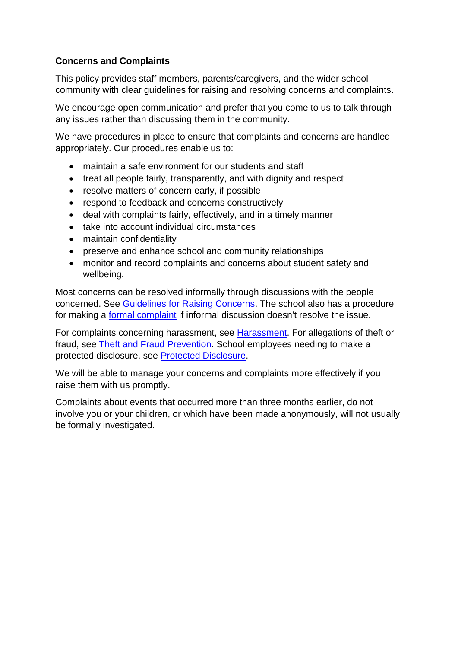## **Concerns and Complaints**

This policy provides staff members, parents/caregivers, and the wider school community with clear guidelines for raising and resolving concerns and complaints.

We encourage open communication and prefer that you come to us to talk through any issues rather than discussing them in the community.

We have procedures in place to ensure that complaints and concerns are handled appropriately. Our procedures enable us to:

- maintain a safe environment for our students and staff
- treat all people fairly, transparently, and with dignity and respect
- resolve matters of concern early, if possible
- respond to feedback and concerns constructively
- deal with complaints fairly, effectively, and in a timely manner
- take into account individual circumstances
- maintain confidentiality
- preserve and enhance school and community relationships
- monitor and record complaints and concerns about student safety and wellbeing.

Most concerns can be resolved informally through discussions with the people concerned. See [Guidelines for Raising Concerns.](https://iqra.schooldocs.co.nz/12729.htm) The school also has a procedure for making a **[formal complaint](https://iqra.schooldocs.co.nz/12803.htm)** if informal discussion doesn't resolve the issue.

For complaints concerning harassment, see [Harassment.](https://iqra.schooldocs.co.nz/13412.htm) For allegations of theft or fraud, see [Theft and Fraud Prevention.](https://iqra.schooldocs.co.nz/2005.htm) School employees needing to make a protected disclosure, see [Protected Disclosure.](https://iqra.schooldocs.co.nz/11892.htm)

We will be able to manage your concerns and complaints more effectively if you raise them with us promptly.

Complaints about events that occurred more than three months earlier, do not involve you or your children, or which have been made anonymously, will not usually be formally investigated.